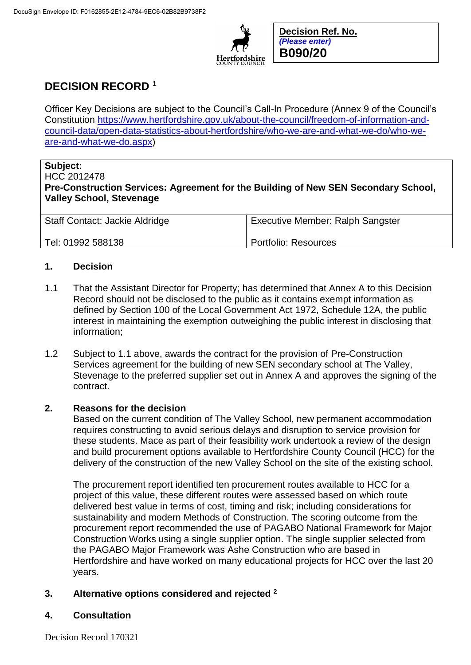

**Decision Ref. No.** *(Please enter)* **B090/20**

# **DECISION RECORD <sup>1</sup>**

Officer Key Decisions are subject to the Council's Call-In Procedure (Annex 9 of the Council's Constitution [https://www.hertfordshire.gov.uk/about-the-council/freedom-of-information-and](https://www.hertfordshire.gov.uk/about-the-council/freedom-of-information-and-council-data/open-data-statistics-about-hertfordshire/who-we-are-and-what-we-do/who-we-are-and-what-we-do.aspx)[council-data/open-data-statistics-about-hertfordshire/who-we-are-and-what-we-do/who-we](https://www.hertfordshire.gov.uk/about-the-council/freedom-of-information-and-council-data/open-data-statistics-about-hertfordshire/who-we-are-and-what-we-do/who-we-are-and-what-we-do.aspx)[are-and-what-we-do.aspx\)](https://www.hertfordshire.gov.uk/about-the-council/freedom-of-information-and-council-data/open-data-statistics-about-hertfordshire/who-we-are-and-what-we-do/who-we-are-and-what-we-do.aspx)

## **Subject:**

HCC 2012478 **Pre-Construction Services: Agreement for the Building of New SEN Secondary School, Valley School, Stevenage**

| Staff Contact: Jackie Aldridge | <b>Executive Member: Ralph Sangster</b> |
|--------------------------------|-----------------------------------------|
| Tel: 01992 588138              | Portfolio: Resources                    |

### **1. Decision**

- 1.1 That the Assistant Director for Property; has determined that Annex A to this Decision Record should not be disclosed to the public as it contains exempt information as defined by Section 100 of the Local Government Act 1972, Schedule 12A, the public interest in maintaining the exemption outweighing the public interest in disclosing that information;
- 1.2 Subject to 1.1 above, awards the contract for the provision of Pre-Construction Services agreement for the building of new SEN secondary school at The Valley, Stevenage to the preferred supplier set out in Annex A and approves the signing of the contract.

### **2. Reasons for the decision**

Based on the current condition of The Valley School, new permanent accommodation requires constructing to avoid serious delays and disruption to service provision for these students. Mace as part of their feasibility work undertook a review of the design and build procurement options available to Hertfordshire County Council (HCC) for the delivery of the construction of the new Valley School on the site of the existing school.

The procurement report identified ten procurement routes available to HCC for a project of this value, these different routes were assessed based on which route delivered best value in terms of cost, timing and risk; including considerations for sustainability and modern Methods of Construction. The scoring outcome from the procurement report recommended the use of PAGABO National Framework for Major Construction Works using a single supplier option. The single supplier selected from the PAGABO Major Framework was Ashe Construction who are based in Hertfordshire and have worked on many educational projects for HCC over the last 20 years.

### **3. Alternative options considered and rejected <sup>2</sup>**

#### **4. Consultation**

Decision Record 170321